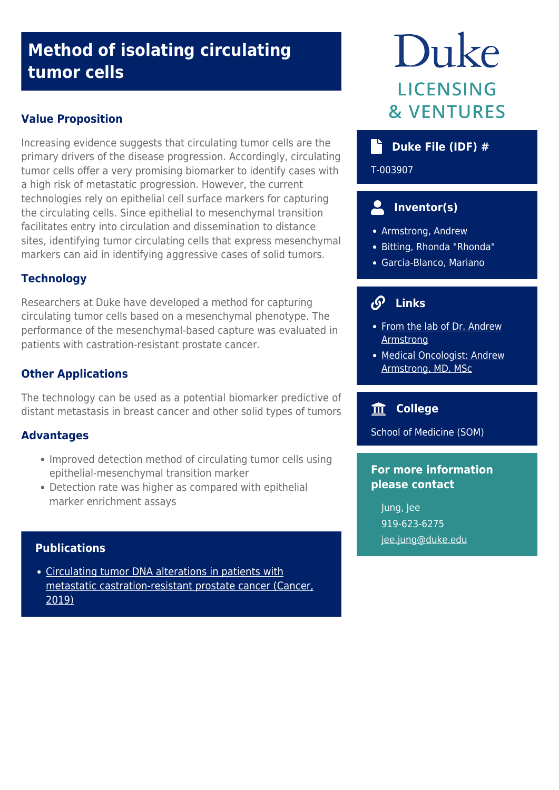# **Method of isolating circulating tumor cells**

#### **Value Proposition**

Increasing evidence suggests that circulating tumor cells are the primary drivers of the disease progression. Accordingly, circulating tumor cells offer a very promising biomarker to identify cases with a high risk of metastatic progression. However, the current technologies rely on epithelial cell surface markers for capturing the circulating cells. Since epithelial to mesenchymal transition facilitates entry into circulation and dissemination to distance sites, identifying tumor circulating cells that express mesenchymal markers can aid in identifying aggressive cases of solid tumors.

## **Technology**

Researchers at Duke have developed a method for capturing circulating tumor cells based on a mesenchymal phenotype. The performance of the mesenchymal-based capture was evaluated in patients with castration-resistant prostate cancer.

## **Other Applications**

The technology can be used as a potential biomarker predictive of distant metastasis in breast cancer and other solid types of tumors

#### **Advantages**

- Improved detection method of circulating tumor cells using epithelial-mesenchymal transition marker
- Detection rate was higher as compared with epithelial marker enrichment assays

#### **Publications**

[Circulating tumor DNA alterations in patients with](https://www.ncbi.nlm.nih.gov/pubmed/30620391) [metastatic castration-resistant prostate cancer \(Cancer,](https://www.ncbi.nlm.nih.gov/pubmed/30620391) [2019\)](https://www.ncbi.nlm.nih.gov/pubmed/30620391)

# Duke **LICENSING & VENTURES**

## **Duke File (IDF) #**

T-003907

# **Inventor(s)**

- Armstrong, Andrew
- Bitting, Rhonda "Rhonda"
- Garcia-Blanco, Mariano

# **Links**

- [From the lab of Dr. Andrew](https://scholars.duke.edu/person/andrew.armstrong#30620391) [Armstrong](https://scholars.duke.edu/person/andrew.armstrong#30620391)
- [Medical Oncologist: Andrew](https://www.youtube.com/watch?v=8EA8t6imfps) [Armstrong, MD, MSc](https://www.youtube.com/watch?v=8EA8t6imfps)

## **College**

School of Medicine (SOM)

#### **For more information please contact**

Jung, Jee 919-623-6275 [jee.jung@duke.edu](mailto:jee.jung@duke.edu)